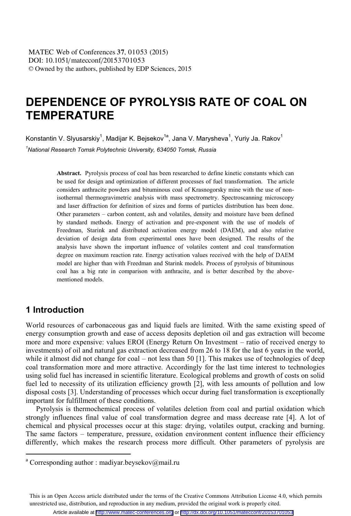# **DEPENDENCE OF PYROLYSIS RATE OF COAL ON TEMPERATURE**

Konstantin V. SIvusarskiv<sup>1</sup>. Madijar K. Beisekov<sup>1a</sup>. Jana V. Marvsheva<sup>1</sup>. Yuriv Ja. Rakov<sup>1</sup> *1 National Research Tomsk Polytechnic University, 634050 Tomsk, Russia* 

> **Abstract.** Pyrolysis process of coal has been researched to define kinetic constants which can be used for design and optimization of different processes of fuel transformation.The article considers anthracite powders and bituminous coal of Krasnogorsky mine with the use of nonisothermal thermogravimetric analysis with mass spectrometry. Spectroscanning microscopy and laser diffraction for definition of sizes and forms of particles distribution has been done. Other parameters – carbon content, ash and volatiles, density and moisture have been defined by standard methods. Energy of activation and pre-exponent with the use of models of Freedman, Starink and distributed activation energy model (DAEM), and also relative deviation of design data from experimental ones have been designed. The results of the analysis have shown the important influence of volatiles content and coal transformation degree on maximum reaction rate. Energy activation values received with the help of DAEM model are higher than with Freedman and Starink models. Process of pyrolysis of bituminous coal has a big rate in comparison with anthracite, and is better described by the abovementioned models.

## **1 Introduction**

 $\overline{a}$ 

World resources of carbonaceous gas and liquid fuels are limited. With the same existing speed of energy consumption growth and ease of access deposits depletion oil and gas extraction will become more and more expensive: values EROI (Energy Return On Investment – ratio of received energy to investments) of oil and natural gas extraction decreased from 26 to 18 for the last 6 years in the world, while it almost did not change for coal – not less than 50 [1]. This makes use of technologies of deep coal transformation more and more attractive. Accordingly for the last time interest to technologies using solid fuel has increased in scientific literature. Ecological problems and growth of costs on solid fuel led to necessity of its utilization efficiency growth [2], with less amounts of pollution and low disposal costs [3]. Understanding of processes which occur during fuel transformation is exceptionally important for fulfillment of these conditions.

Pyrolysis is thermochemical process of volatiles deletion from coal and partial oxidation which strongly influences final value of coal transformation degree and mass decrease rate [4]. A lot of chemical and physical processes occur at this stage: drying, volatiles output, cracking and burning. The same factors – temperature, pressure, oxidation environment content influence their efficiency differently, which makes the research process more difficult. Other parameters of pyrolysis are

<sup>&</sup>lt;sup>a</sup> Corresponding author : madiyar.beysekov@mail.ru

This is an Open Access article distributed under the terms of the Creative Commons Attribution License 4.0, which permits unrestricted use, distribution, and reproduction in any medium, provided the original work is properly cited.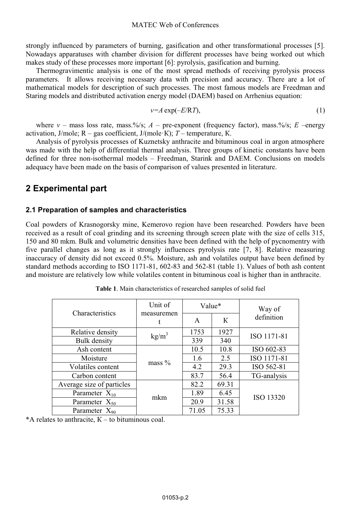strongly influenced by parameters of burning, gasification and other transformational processes [5]. Nowadays apparatuses with chamber division for different processes have being worked out which makes study of these processes more important [6]: pyrolysis, gasification and burning.

Thermogravimentic analysis is one of the most spread methods of receiving pyrolysis process parameters. It allows receiving necessary data with precision and accuracy. There are a lot of mathematical models for description of such processes. The most famous models are Freedman and Staring models and distributed activation energy model (DAEM) based on Arrhenius equation:

$$
v = A \exp(-E/RT), \tag{1}
$$

where  $v$  – mass loss rate, mass.%/s;  $A$  – pre-exponent (frequency factor), mass.%/s;  $E$  –energy activation, J/mole;  $R - gas$  coefficient, J/(mole·K);  $T -$  temperature, K.

Analysis of pyrolysis processes of Kuznetsky anthracite and bituminous coal in argon atmosphere was made with the help of differential thermal analysis. Three groups of kinetic constants have been defined for three non-isothermal models – Freedman, Starink and DAEM. Conclusions on models adequacy have been made on the basis of comparison of values presented in literature.

# **2 Experimental part**

### **2.1 Preparation of samples and characteristics**

Coal powders of Krasnogorsky mine, Kemerovo region have been researched. Powders have been received as a result of coal grinding and its screening through screen plate with the size of cells 315, 150 and 80 mkm. Bulk and volumetric densities have been defined with the help of pycnomentry with five parallel changes as long as it strongly influences pyrolysis rate [7, 8]. Relative measuring inaccuracy of density did not exceed 0.5%. Moisture, ash and volatiles output have been defined by standard methods according to ISO 1171-81, 602-83 and 562-81 (table 1). Values of both ash content and moisture are relatively low while volatiles content in bituminous coal is higher than in anthracite.

| Characteristics           | Unit of<br>measuremen<br>t | Value* |       | Way of      |  |
|---------------------------|----------------------------|--------|-------|-------------|--|
|                           |                            | A      | К     | definition  |  |
| Relative density          | $\text{kg/m}^3$            | 1753   | 1927  | ISO 1171-81 |  |
| Bulk density              |                            | 339    | 340   |             |  |
| Ash content               |                            | 10.5   | 10.8  | ISO 602-83  |  |
| Moisture                  | $mass\%$                   | 1.6    | 2.5   | ISO 1171-81 |  |
| Volatiles content         |                            | 4.2    | 29.3  | ISO 562-81  |  |
| Carbon content            |                            | 83.7   | 56.4  | TG-analysis |  |
| Average size of particles |                            | 82.2   | 69.31 | ISO 13320   |  |
| Parameter $X_{10}$        | mkm                        | 1.89   | 6.45  |             |  |
| Parameter $X_{50}$        |                            | 20.9   | 31.58 |             |  |
| Parameter $X_{90}$        |                            | 71.05  | 75.33 |             |  |

**Table 1**. Main characteristics of researched samples of solid fuel

\*A relates to anthracite,  $K -$  to bituminous coal.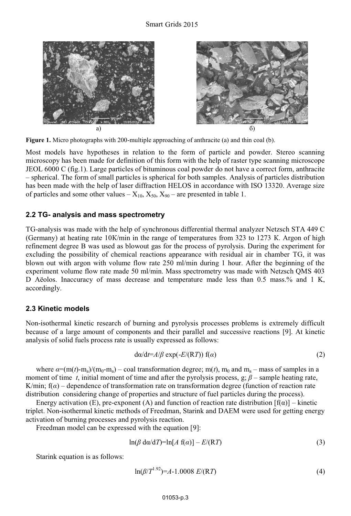

**Figure 1.** Micro photographs with 200-multiple approaching of anthracite (а) and thin coal (b).

Most models have hypotheses in relation to the form of particle and powder. Stereo scanning microscopy has been made for definition of this form with the help of raster type scanning microscope JEOL 6000 С (fig.1). Large particles of bituminous coal powder do not have a correct form, anthracite – spherical. The form of small particles is spherical for both samples. Analysis of particles distribution has been made with the help of laser diffraction HELOS in accordance with ISO 13320. Average size of particles and some other values –  $X_{10}$ ,  $X_{50}$ ,  $X_{90}$  – are presented in table 1.

#### **2.2 TG- analysis and mass spectrometry**

TG-analysis was made with the help of synchronous differential thermal analyzer Netzsch STA 449 C (Germany) at heating rate 10К/min in the range of temperatures from 323 to 1273 К. Argon of high refinement degree В was used as blowout gas for the process of pyrolysis. During the experiment for excluding the possibility of chemical reactions appearance with residual air in chamber TG, it was blown out with argon with volume flow rate 250 ml/min during 1 hour. After the beginning of the experiment volume flow rate made 50 ml/min. Mass spectrometry was made with Netzsch QMS 403 D Aëolos. Inaccuracy of mass decrease and temperature made less than 0.5 mass.% and 1 K, accordingly.

#### **2.3 Kinetic models**

Non-isothermal kinetic research of burning and pyrolysis processes problems is extremely difficult because of a large amount of components and their parallel and successive reactions [9]. At kinetic analysis of solid fuels process rate is usually expressed as follows:

$$
d\alpha/dt = A/\beta \exp(-E/(RT)) f(\alpha)
$$
 (2)

where  $a=(m(t)-m_a)/(m_0-m_a)$  – coal transformation degree;  $m(t)$ ,  $m_0$  and  $m_a$  – mass of samples in a moment of time *t*, initial moment of time and after the pyrolysis process,  $g$ ;  $\beta$  – sample heating rate, K/min; f(*α*) – dependence of transformation rate on transformation degree (function of reaction rate distribution considering change of properties and structure of fuel particles during the process).

Energy activation (E), pre-exponent (A) and function of reaction rate distribution  $[f(\alpha)]$  – kinetic triplet. Non-isothermal kinetic methods of Freedman, Starink and DAEM were used for getting energy activation of burning processes and pyrolysis reaction.

Freedman model can be expressed with the equation [9]:

$$
\ln(\beta \, d\alpha/dT) = \ln[A f(\alpha)] - E/(RT) \tag{3}
$$

Starink equation is as follows:

$$
\ln(\beta/T^{1.92}) = A - 1.0008 \ E/(\mathbf{R}T) \tag{4}
$$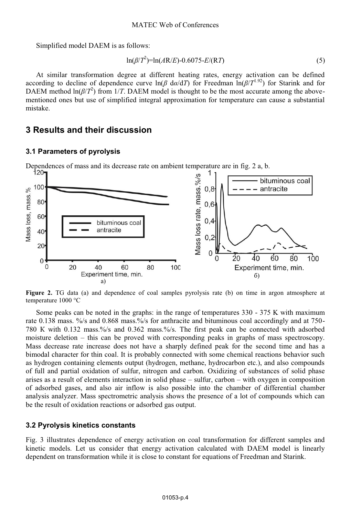Simplified model DAEM is as follows:

$$
\ln(\beta/T^2) = \ln(AR/E) - 0.6075 - E/(RT)
$$
\n(5)

At similar transformation degree at different heating rates, energy activation can be defined according to decline of dependence curve  $\ln(\beta \, d\alpha/dT)$  for Freedman  $\ln(\beta/T^{1.92})$  for Starink and for DAEM method  $\ln(\beta/T^2)$  from 1/*T*. DAEM model is thought to be the most accurate among the abovementioned ones but use of simplified integral approximation for temperature can cause a substantial mistake.

## **3 Results and their discussion**

#### **3.1 Parameters of pyrolysis**



Dependences of mass and its decrease rate on ambient temperature are in fig. 2 a, b. 120■

**Figure 2.** TG data (а) and dependence of coal samples pyrolysis rate (b) on time in argon atmosphere at temperature 1000 °С

Some peaks can be noted in the graphs: in the range of temperatures 330 - 375 K with maximum rate 0.138 mass. %/s and 0.868 mass.%/s for anthracite and bituminous coal accordingly and at 750-780 К with 0.132 mass.%/s and 0.362 mass.%/s. The first peak can be connected with adsorbed moisture deletion – this can be proved with corresponding peaks in graphs of mass spectroscopy. Mass decrease rate increase does not have a sharply defined peak for the second time and has a bimodal character for thin coal. It is probably connected with some chemical reactions behavior such as hydrogen containing elements output (hydrogen, methane, hydrocarbon etc.), and also compounds of full and partial oxidation of sulfur, nitrogen and carbon. Oxidizing of substances of solid phase arises as a result of elements interaction in solid phase – sulfur, carbon – with oxygen in composition of adsorbed gases, and also air inflow is also possible into the chamber of differential chamber analysis analyzer. Mass spectrometric analysis shows the presence of a lot of compounds which can be the result of oxidation reactions or adsorbed gas output.

#### **3.2 Pyrolysis kinetics constants**

Fig. 3 illustrates dependence of energy activation on coal transformation for different samples and kinetic models. Let us consider that energy activation calculated with DAEM model is linearly dependent on transformation while it is close to constant for equations of Freedman and Starink.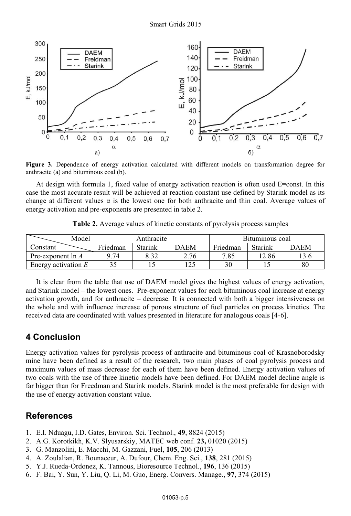

**Figure 3.** Dependence of energy activation calculated with different models on transformation degree for anthracite (а) and bituminous coal (b).

At design with formula 1, fixed value of energy activation reaction is often used E=const. In this case the most accurate result will be achieved at reaction constant use defined by Starink model as its change at different values  $\alpha$  is the lowest one for both anthracite and thin coal. Average values of energy activation and pre-exponents are presented in table 2.

|                       | Model | Anthracite |                |             | Bituminous coal |         |             |  |
|-----------------------|-------|------------|----------------|-------------|-----------------|---------|-------------|--|
| Constant              |       | Friedman   | <b>Starink</b> | <b>DAEM</b> | Friedman        | Starink | <b>DAEM</b> |  |
| Pre-exponent $\ln A$  |       | .74        |                | 2.76        | 7.85            | '2.86   |             |  |
| Energy activation $E$ |       |            |                | 1つら         | 30              |         | 80          |  |

**Table 2.** Average values of kinetic constants of pyrolysis process samples

It is clear from the table that use of DAEM model gives the highest values of energy activation, and Starink model – the lowest ones. Pre-exponent values for each bituminous coal increase at energy activation growth, and for anthracite – decrease. It is connected with both a bigger intensiveness on the whole and with influence increase of porous structure of fuel particles on process kinetics. The received data are coordinated with values presented in literature for analogous coals [4-6].

## **4 Conclusion**

Energy activation values for pyrolysis process of anthracite and bituminous coal of Krasnoborodsky mine have been defined as a result of the research, two main phases of coal pyrolysis process and maximum values of mass decrease for each of them have been defined. Energy activation values of two coals with the use of three kinetic models have been defined. For DAEM model decline angle is far bigger than for Freedman and Starink models. Starink model is the most preferable for design with the use of energy activation constant value.

## **References**

- 1. E.I. Nduagu, I.D. Gates, Environ. Sci. Technol., **49**, 8824 (2015)
- 2. A.G. Korotkikh, K.V. Slyusarskiy, MATEC web conf. **23,** 01020 (2015)
- 3. G. Manzolini, E. Macchi, M. Gazzani, Fuel, **105**, 206 (2013)
- 4. A. Zoulalian, R. Bounaceur, A. Dufour, Chem. Eng. Sci., **138**, 281 (2015)
- 5. Y.J. Rueda-Ordonez, K. Tannous, Bioresource Technol., **196**, 136 (2015)
- 6. F. Bai, Y. Sun, Y. Liu, Q. Li, M. Guo, Energ. Convers. Manage., **97**, 374 (2015)